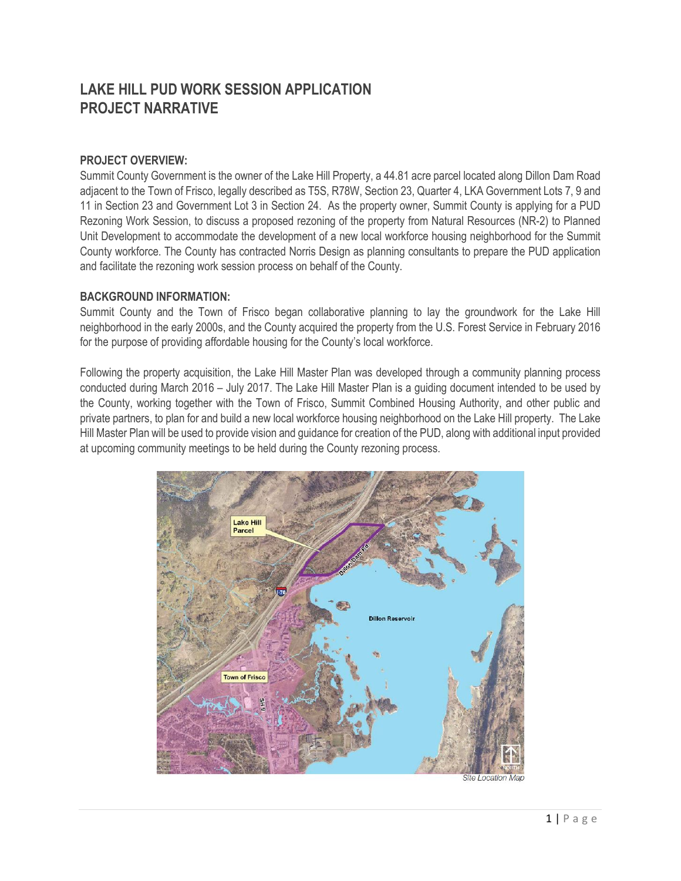# **LAKE HILL PUD WORK SESSION APPLICATION PROJECT NARRATIVE**

## **PROJECT OVERVIEW:**

Summit County Government is the owner of the Lake Hill Property, a 44.81 acre parcel located along Dillon Dam Road adjacent to the Town of Frisco, legally described as T5S, R78W, Section 23, Quarter 4, LKA Government Lots 7, 9 and 11 in Section 23 and Government Lot 3 in Section 24. As the property owner, Summit County is applying for a PUD Rezoning Work Session, to discuss a proposed rezoning of the property from Natural Resources (NR-2) to Planned Unit Development to accommodate the development of a new local workforce housing neighborhood for the Summit County workforce. The County has contracted Norris Design as planning consultants to prepare the PUD application and facilitate the rezoning work session process on behalf of the County.

## **BACKGROUND INFORMATION:**

Summit County and the Town of Frisco began collaborative planning to lay the groundwork for the Lake Hill neighborhood in the early 2000s, and the County acquired the property from the U.S. Forest Service in February 2016 for the purpose of providing affordable housing for the County's local workforce.

Following the property acquisition, the Lake Hill Master Plan was developed through a community planning process conducted during March 2016 – July 2017. The Lake Hill Master Plan is a guiding document intended to be used by the County, working together with the Town of Frisco, Summit Combined Housing Authority, and other public and private partners, to plan for and build a new local workforce housing neighborhood on the Lake Hill property. The Lake Hill Master Plan will be used to provide vision and guidance for creation of the PUD, along with additional input provided at upcoming community meetings to be held during the County rezoning process.

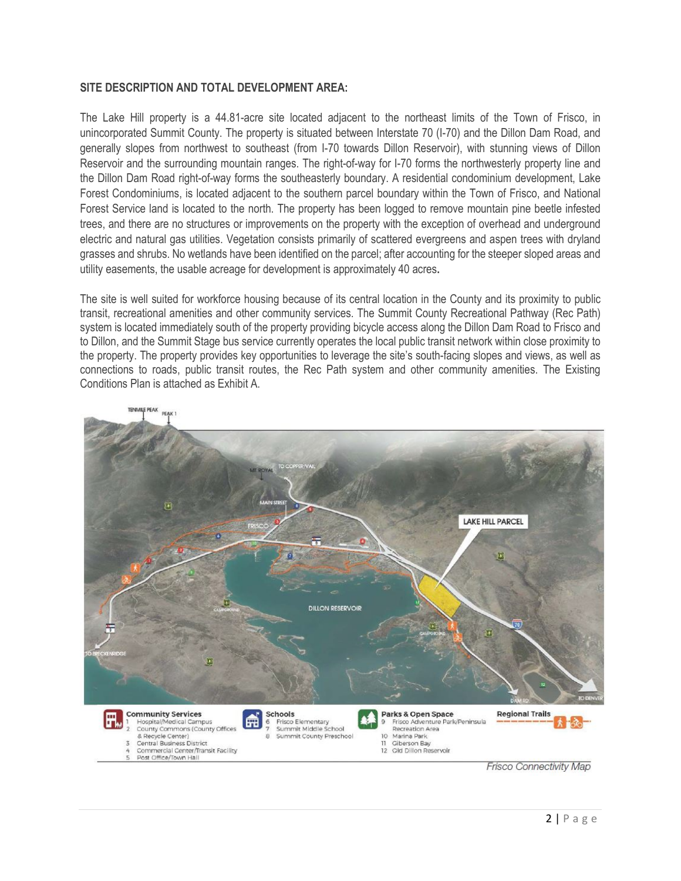#### **SITE DESCRIPTION AND TOTAL DEVELOPMENT AREA:**

The Lake Hill property is a 44.81-acre site located adjacent to the northeast limits of the Town of Frisco, in unincorporated Summit County. The property is situated between Interstate 70 (I-70) and the Dillon Dam Road, and generally slopes from northwest to southeast (from I-70 towards Dillon Reservoir), with stunning views of Dillon Reservoir and the surrounding mountain ranges. The right-of-way for I-70 forms the northwesterly property line and the Dillon Dam Road right-of-way forms the southeasterly boundary. A residential condominium development, Lake Forest Condominiums, is located adjacent to the southern parcel boundary within the Town of Frisco, and National Forest Service land is located to the north. The property has been logged to remove mountain pine beetle infested trees, and there are no structures or improvements on the property with the exception of overhead and underground electric and natural gas utilities. Vegetation consists primarily of scattered evergreens and aspen trees with dryland grasses and shrubs. No wetlands have been identified on the parcel; after accounting for the steeper sloped areas and utility easements, the usable acreage for development is approximately 40 acres**.** 

The site is well suited for workforce housing because of its central location in the County and its proximity to public transit, recreational amenities and other community services. The Summit County Recreational Pathway (Rec Path) system is located immediately south of the property providing bicycle access along the Dillon Dam Road to Frisco and to Dillon, and the Summit Stage bus service currently operates the local public transit network within close proximity to the property. The property provides key opportunities to leverage the site's south-facing slopes and views, as well as connections to roads, public transit routes, the Rec Path system and other community amenities. The Existing Conditions Plan is attached as Exhibit A.



**Frisco Connectivity Map**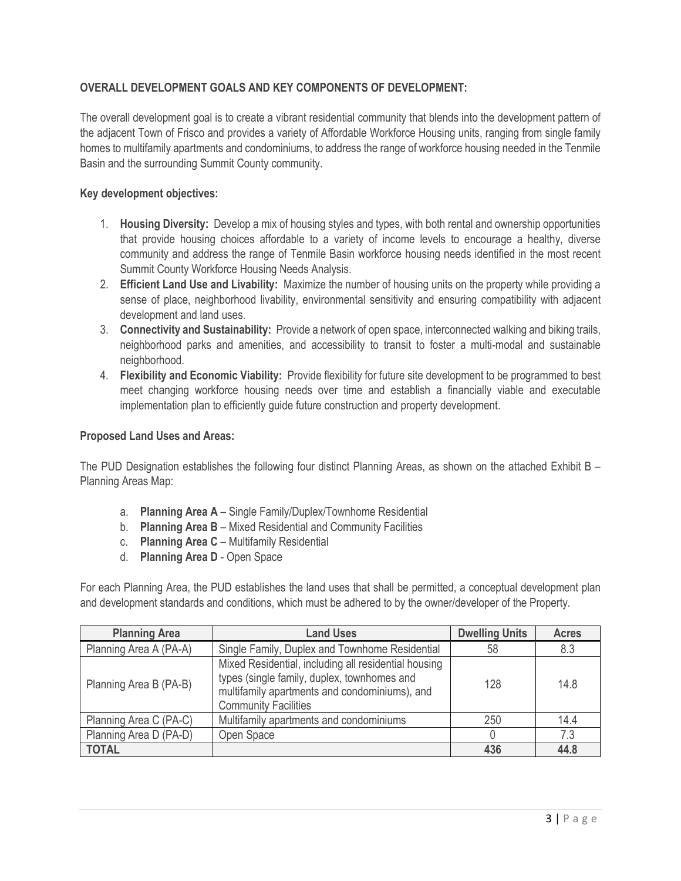## **OVERALL DEVELOPMENT GOALS AND KEY COMPONENTS OF DEVELOPMENT:**

The overall development goal is to create a vibrant residential community that blends into the development pattern of the adjacent Town of Frisco and provides a variety of Affordable Workforce Housing units, ranging from single family homes to multifamily apartments and condominiums, to address the range of workforce housing needed in the Tenmile Basin and the surrounding Summit County community.

#### **Key development objectives:**

- 1. **Housing Diversity:** Develop a mix of housing styles and types, with both rental and ownership opportunities that provide housing choices affordable to a variety of income levels to encourage a healthy, diverse community and address the range of Tenmile Basin workforce housing needs identified in the most recent Summit County Workforce Housing Needs Analysis.
- 2. **Efficient Land Use and Livability:** Maximize the number of housing units on the property while providing a sense of place, neighborhood livability, environmental sensitivity and ensuring compatibility with adjacent development and land uses.
- 3. **Connectivity and Sustainability:** Provide a network of open space, interconnected walking and biking trails, neighborhood parks and amenities, and accessibility to transit to foster a multi-modal and sustainable neighborhood.
- 4. **Flexibility and Economic Viability:** Provide flexibility for future site development to be programmed to best meet changing workforce housing needs over time and establish a financially viable and executable implementation plan to efficiently guide future construction and property development.

#### **Proposed Land Uses and Areas:**

The PUD Designation establishes the following four distinct Planning Areas, as shown on the attached Exhibit B – Planning Areas Map:

- a. **Planning Area A**  Single Family/Duplex/Townhome Residential
- b. **Planning Area B** Mixed Residential and Community Facilities
- c. **Planning Area C** Multifamily Residential
- d. **Planning Area D**  Open Space

For each Planning Area, the PUD establishes the land uses that shall be permitted, a conceptual development plan and development standards and conditions, which must be adhered to by the owner/developer of the Property.

| <b>Planning Area</b>   | <b>Land Uses</b>                                                                                                                                                                    | <b>Dwelling Units</b> | <b>Acres</b> |
|------------------------|-------------------------------------------------------------------------------------------------------------------------------------------------------------------------------------|-----------------------|--------------|
| Planning Area A (PA-A) | Single Family, Duplex and Townhome Residential                                                                                                                                      | 58                    | 8.3          |
| Planning Area B (PA-B) | Mixed Residential, including all residential housing<br>types (single family, duplex, townhomes and<br>multifamily apartments and condominiums), and<br><b>Community Facilities</b> | 128                   | 14.8         |
| Planning Area C (PA-C) | Multifamily apartments and condominiums                                                                                                                                             | 250                   | 14.4         |
| Planning Area D (PA-D) | Open Space                                                                                                                                                                          |                       | 7.3          |
| <b>TOTAL</b>           |                                                                                                                                                                                     | 436                   | 44.8         |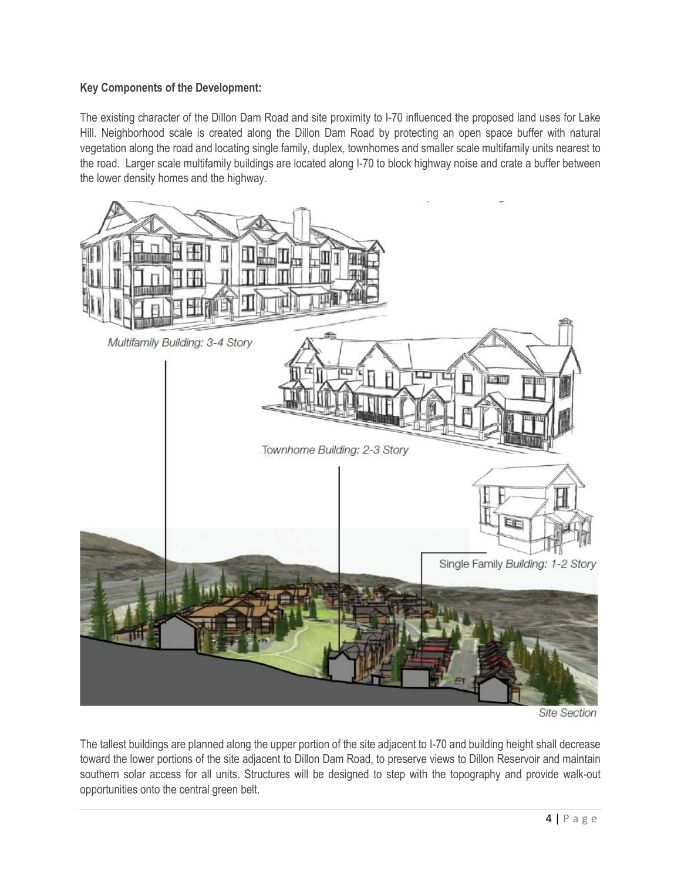## **Key Components of the Development:**

The existing character of the Dillon Dam Road and site proximity to I-70 influenced the proposed land uses for Lake Hill. Neighborhood scale is created along the Dillon Dam Road by protecting an open space buffer with natural vegetation along the road and locating single family, duplex, townhomes and smaller scale multifamily units nearest to the road. Larger scale multifamily buildings are located along I-70 to block highway noise and crate a buffer between the lower density homes and the highway.



**Site Section** 

The tallest buildings are planned along the upper portion of the site adjacent to I-70 and building height shall decrease toward the lower portions of the site adjacent to Dillon Dam Road, to preserve views to Dillon Reservoir and maintain southern solar access for all units. Structures will be designed to step with the topography and provide walk-out opportunities onto the central green belt.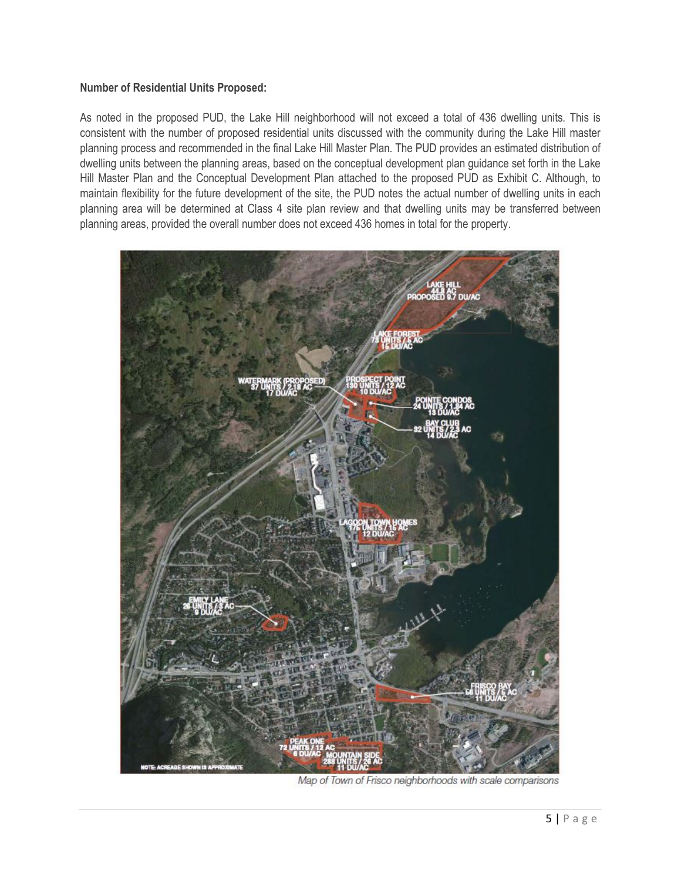#### **Number of Residential Units Proposed:**

As noted in the proposed PUD, the Lake Hill neighborhood will not exceed a total of 436 dwelling units. This is consistent with the number of proposed residential units discussed with the community during the Lake Hill master planning process and recommended in the final Lake Hill Master Plan. The PUD provides an estimated distribution of dwelling units between the planning areas, based on the conceptual development plan guidance set forth in the Lake Hill Master Plan and the Conceptual Development Plan attached to the proposed PUD as Exhibit C. Although, to maintain flexibility for the future development of the site, the PUD notes the actual number of dwelling units in each planning area will be determined at Class 4 site plan review and that dwelling units may be transferred between planning areas, provided the overall number does not exceed 436 homes in total for the property.



Map of Town of Frisco neighborhoods with scale comparisons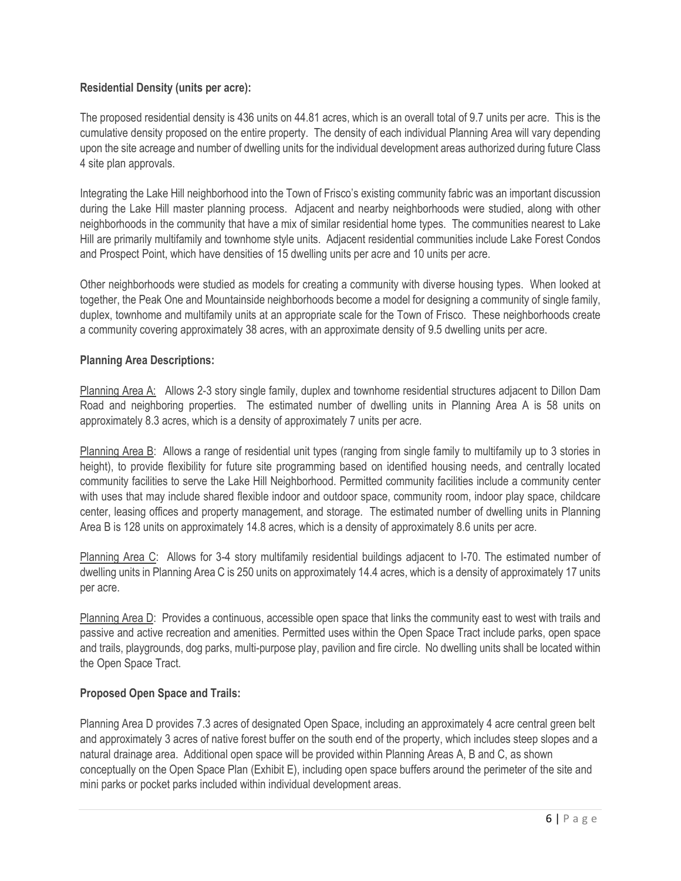## **Residential Density (units per acre):**

The proposed residential density is 436 units on 44.81 acres, which is an overall total of 9.7 units per acre. This is the cumulative density proposed on the entire property. The density of each individual Planning Area will vary depending upon the site acreage and number of dwelling units for the individual development areas authorized during future Class 4 site plan approvals.

Integrating the Lake Hill neighborhood into the Town of Frisco's existing community fabric was an important discussion during the Lake Hill master planning process. Adjacent and nearby neighborhoods were studied, along with other neighborhoods in the community that have a mix of similar residential home types. The communities nearest to Lake Hill are primarily multifamily and townhome style units. Adjacent residential communities include Lake Forest Condos and Prospect Point, which have densities of 15 dwelling units per acre and 10 units per acre.

Other neighborhoods were studied as models for creating a community with diverse housing types. When looked at together, the Peak One and Mountainside neighborhoods become a model for designing a community of single family, duplex, townhome and multifamily units at an appropriate scale for the Town of Frisco. These neighborhoods create a community covering approximately 38 acres, with an approximate density of 9.5 dwelling units per acre.

## **Planning Area Descriptions:**

Planning Area A: Allows 2-3 story single family, duplex and townhome residential structures adjacent to Dillon Dam Road and neighboring properties. The estimated number of dwelling units in Planning Area A is 58 units on approximately 8.3 acres, which is a density of approximately 7 units per acre.

Planning Area B: Allows a range of residential unit types (ranging from single family to multifamily up to 3 stories in height), to provide flexibility for future site programming based on identified housing needs, and centrally located community facilities to serve the Lake Hill Neighborhood. Permitted community facilities include a community center with uses that may include shared flexible indoor and outdoor space, community room, indoor play space, childcare center, leasing offices and property management, and storage. The estimated number of dwelling units in Planning Area B is 128 units on approximately 14.8 acres, which is a density of approximately 8.6 units per acre.

Planning Area C: Allows for 3-4 story multifamily residential buildings adjacent to I-70. The estimated number of dwelling units in Planning Area C is 250 units on approximately 14.4 acres, which is a density of approximately 17 units per acre.

Planning Area D: Provides a continuous, accessible open space that links the community east to west with trails and passive and active recreation and amenities. Permitted uses within the Open Space Tract include parks, open space and trails, playgrounds, dog parks, multi-purpose play, pavilion and fire circle. No dwelling units shall be located within the Open Space Tract.

## **Proposed Open Space and Trails:**

Planning Area D provides 7.3 acres of designated Open Space, including an approximately 4 acre central green belt and approximately 3 acres of native forest buffer on the south end of the property, which includes steep slopes and a natural drainage area. Additional open space will be provided within Planning Areas A, B and C, as shown conceptually on the Open Space Plan (Exhibit E), including open space buffers around the perimeter of the site and mini parks or pocket parks included within individual development areas.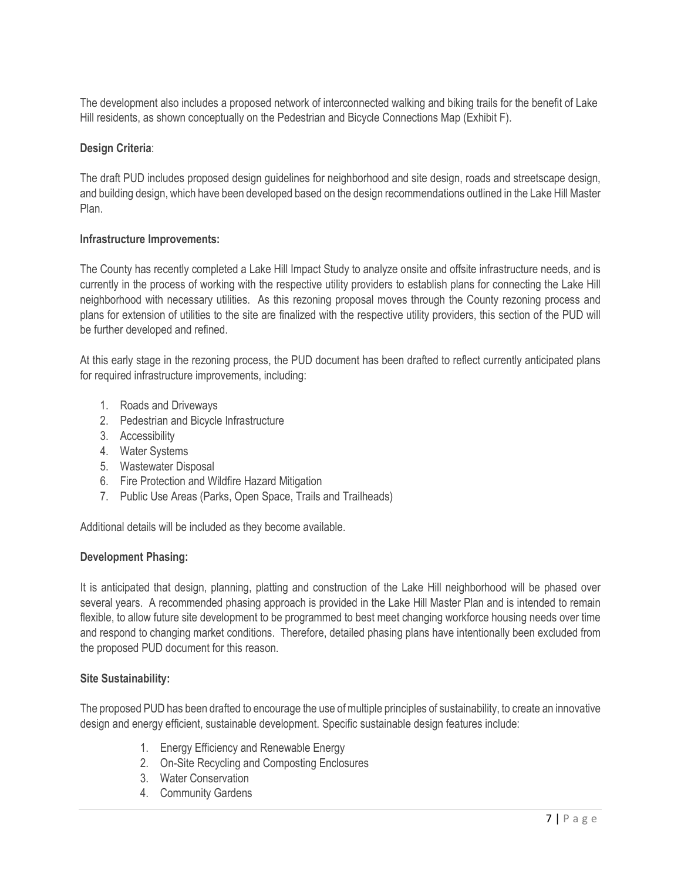The development also includes a proposed network of interconnected walking and biking trails for the benefit of Lake Hill residents, as shown conceptually on the Pedestrian and Bicycle Connections Map (Exhibit F).

## **Design Criteria**:

The draft PUD includes proposed design guidelines for neighborhood and site design, roads and streetscape design, and building design, which have been developed based on the design recommendations outlined in the Lake Hill Master Plan.

#### **Infrastructure Improvements:**

The County has recently completed a Lake Hill Impact Study to analyze onsite and offsite infrastructure needs, and is currently in the process of working with the respective utility providers to establish plans for connecting the Lake Hill neighborhood with necessary utilities. As this rezoning proposal moves through the County rezoning process and plans for extension of utilities to the site are finalized with the respective utility providers, this section of the PUD will be further developed and refined.

At this early stage in the rezoning process, the PUD document has been drafted to reflect currently anticipated plans for required infrastructure improvements, including:

- 1. Roads and Driveways
- 2. Pedestrian and Bicycle Infrastructure
- 3. Accessibility
- 4. Water Systems
- 5. Wastewater Disposal
- 6. Fire Protection and Wildfire Hazard Mitigation
- 7. Public Use Areas (Parks, Open Space, Trails and Trailheads)

Additional details will be included as they become available.

#### **Development Phasing:**

It is anticipated that design, planning, platting and construction of the Lake Hill neighborhood will be phased over several years. A recommended phasing approach is provided in the Lake Hill Master Plan and is intended to remain flexible, to allow future site development to be programmed to best meet changing workforce housing needs over time and respond to changing market conditions. Therefore, detailed phasing plans have intentionally been excluded from the proposed PUD document for this reason.

#### **Site Sustainability:**

The proposed PUD has been drafted to encourage the use of multiple principles of sustainability, to create an innovative design and energy efficient, sustainable development. Specific sustainable design features include:

- 1. Energy Efficiency and Renewable Energy
- 2. On-Site Recycling and Composting Enclosures
- 3. Water Conservation
- 4. Community Gardens